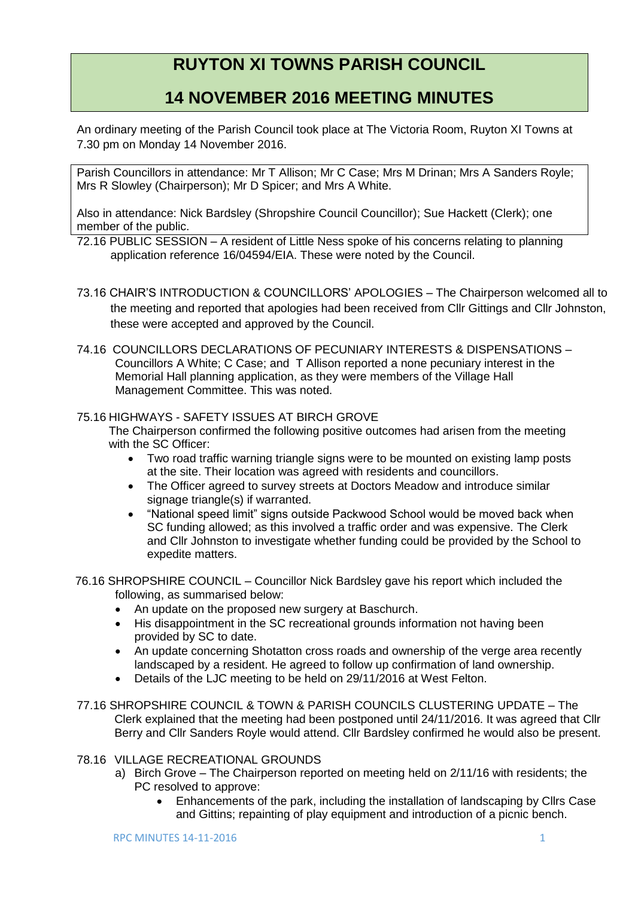# **RUYTON XI TOWNS PARISH COUNCIL**

# **14 NOVEMBER 2016 MEETING MINUTES**

An ordinary meeting of the Parish Council took place at The Victoria Room, Ruyton XI Towns at 7.30 pm on Monday 14 November 2016.

Parish Councillors in attendance: Mr T Allison; Mr C Case; Mrs M Drinan; Mrs A Sanders Royle; Mrs R Slowley (Chairperson); Mr D Spicer; and Mrs A White.

Also in attendance: Nick Bardsley (Shropshire Council Councillor); Sue Hackett (Clerk); one member of the public.

72.16 PUBLIC SESSION – A resident of Little Ness spoke of his concerns relating to planning application reference 16/04594/EIA. These were noted by the Council.

- 73.16 CHAIR'S INTRODUCTION & COUNCILLORS' APOLOGIES The Chairperson welcomed all to the meeting and reported that apologies had been received from Cllr Gittings and Cllr Johnston, these were accepted and approved by the Council.
- 74.16 COUNCILLORS DECLARATIONS OF PECUNIARY INTERESTS & DISPENSATIONS Councillors A White; C Case; and T Allison reported a none pecuniary interest in the Memorial Hall planning application, as they were members of the Village Hall Management Committee. This was noted.

### 75.16 HIGHWAYS - SAFETY ISSUES AT BIRCH GROVE

The Chairperson confirmed the following positive outcomes had arisen from the meeting with the SC Officer:

- Two road traffic warning triangle signs were to be mounted on existing lamp posts at the site. Their location was agreed with residents and councillors.
- The Officer agreed to survey streets at Doctors Meadow and introduce similar signage triangle(s) if warranted.
- "National speed limit" signs outside Packwood School would be moved back when SC funding allowed; as this involved a traffic order and was expensive. The Clerk and Cllr Johnston to investigate whether funding could be provided by the School to expedite matters.

76.16 SHROPSHIRE COUNCIL – Councillor Nick Bardsley gave his report which included the following, as summarised below:

- An update on the proposed new surgery at Baschurch.
- His disappointment in the SC recreational grounds information not having been provided by SC to date.
- An update concerning Shotatton cross roads and ownership of the verge area recently landscaped by a resident. He agreed to follow up confirmation of land ownership.
- Details of the LJC meeting to be held on 29/11/2016 at West Felton.
- 77.16 SHROPSHIRE COUNCIL & TOWN & PARISH COUNCILS CLUSTERING UPDATE The Clerk explained that the meeting had been postponed until 24/11/2016. It was agreed that Cllr Berry and Cllr Sanders Royle would attend. Cllr Bardsley confirmed he would also be present.

### 78.16 VILLAGE RECREATIONAL GROUNDS

- a) Birch Grove The Chairperson reported on meeting held on 2/11/16 with residents; the PC resolved to approve:
	- Enhancements of the park, including the installation of landscaping by Cllrs Case and Gittins; repainting of play equipment and introduction of a picnic bench.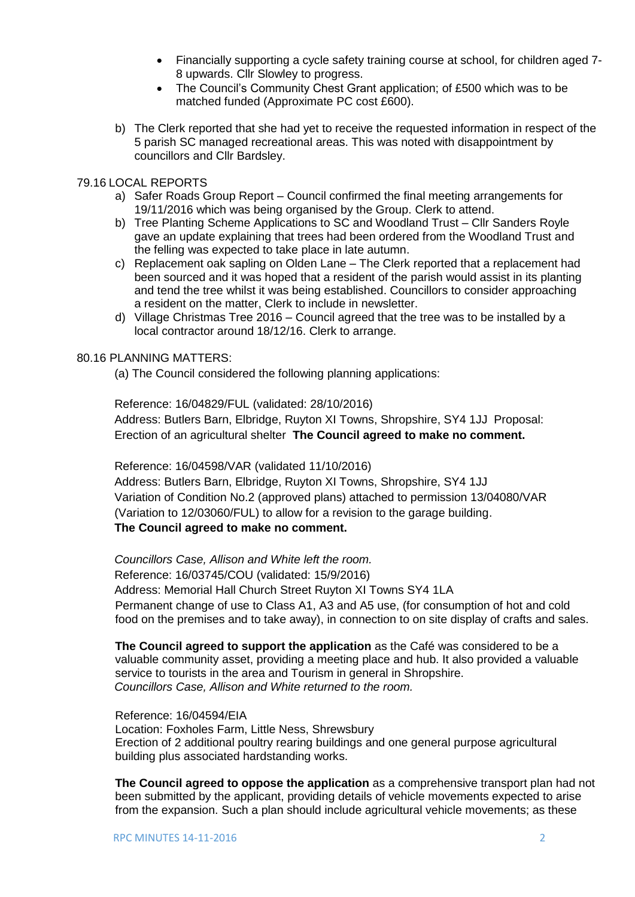- Financially supporting a cycle safety training course at school, for children aged 7- 8 upwards. Cllr Slowley to progress.
- The Council's Community Chest Grant application; of £500 which was to be matched funded (Approximate PC cost £600).
- b) The Clerk reported that she had yet to receive the requested information in respect of the 5 parish SC managed recreational areas. This was noted with disappointment by councillors and Cllr Bardsley.

#### 79.16 LOCAL REPORTS

- a) Safer Roads Group Report Council confirmed the final meeting arrangements for 19/11/2016 which was being organised by the Group. Clerk to attend.
- b) Tree Planting Scheme Applications to SC and Woodland Trust Cllr Sanders Royle gave an update explaining that trees had been ordered from the Woodland Trust and the felling was expected to take place in late autumn.
- c) Replacement oak sapling on Olden Lane The Clerk reported that a replacement had been sourced and it was hoped that a resident of the parish would assist in its planting and tend the tree whilst it was being established. Councillors to consider approaching a resident on the matter, Clerk to include in newsletter.
- d) Village Christmas Tree 2016 Council agreed that the tree was to be installed by a local contractor around 18/12/16. Clerk to arrange.

## 80.16 PLANNING MATTERS:

(a) The Council considered the following planning applications:

Reference: 16/04829/FUL (validated: 28/10/2016) Address: Butlers Barn, Elbridge, Ruyton XI Towns, Shropshire, SY4 1JJ Proposal: Erection of an agricultural shelter **The Council agreed to make no comment.**

Reference: 16/04598/VAR (validated 11/10/2016)

Address: Butlers Barn, Elbridge, Ruyton XI Towns, Shropshire, SY4 1JJ Variation of Condition No.2 (approved plans) attached to permission 13/04080/VAR (Variation to 12/03060/FUL) to allow for a revision to the garage building. **The Council agreed to make no comment.**

*Councillors Case, Allison and White left the room.* Reference: 16/03745/COU (validated: 15/9/2016) Address: Memorial Hall Church Street Ruyton XI Towns SY4 1LA Permanent change of use to Class A1, A3 and A5 use, (for consumption of hot and cold food on the premises and to take away), in connection to on site display of crafts and sales.

**The Council agreed to support the application** as the Café was considered to be a valuable community asset, providing a meeting place and hub. It also provided a valuable service to tourists in the area and Tourism in general in Shropshire. *Councillors Case, Allison and White returned to the room.*

Reference: 16/04594/EIA Location: Foxholes Farm, Little Ness, Shrewsbury Erection of 2 additional poultry rearing buildings and one general purpose agricultural building plus associated hardstanding works.

**The Council agreed to oppose the application** as a comprehensive transport plan had not been submitted by the applicant, providing details of vehicle movements expected to arise from the expansion. Such a plan should include agricultural vehicle movements; as these